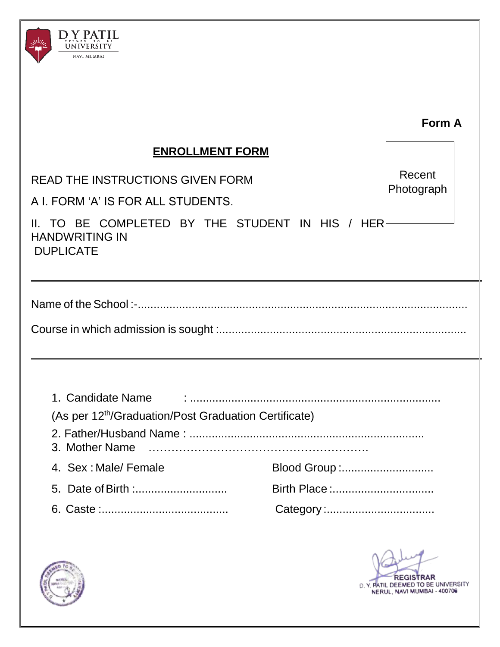

|                                                                                                               | <b>Form A</b>        |
|---------------------------------------------------------------------------------------------------------------|----------------------|
| <b>ENROLLMENT FORM</b>                                                                                        |                      |
| <b>READ THE INSTRUCTIONS GIVEN FORM</b><br>A I. FORM 'A' IS FOR ALL STUDENTS.                                 | Recent<br>Photograph |
| II. TO BE COMPLETED BY THE STUDENT IN HIS / HER $^{\mathfrak l}$<br><b>HANDWRITING IN</b><br><b>DUPLICATE</b> |                      |
|                                                                                                               |                      |
| 1. Candidate Name<br>(As per 12 <sup>th</sup> /Graduation/Post Graduation Certificate)<br>3. Mother Name      |                      |
| 4. Sex: Male/ Female<br>Blood Group :                                                                         |                      |
| Birth Place :                                                                                                 |                      |
|                                                                                                               |                      |



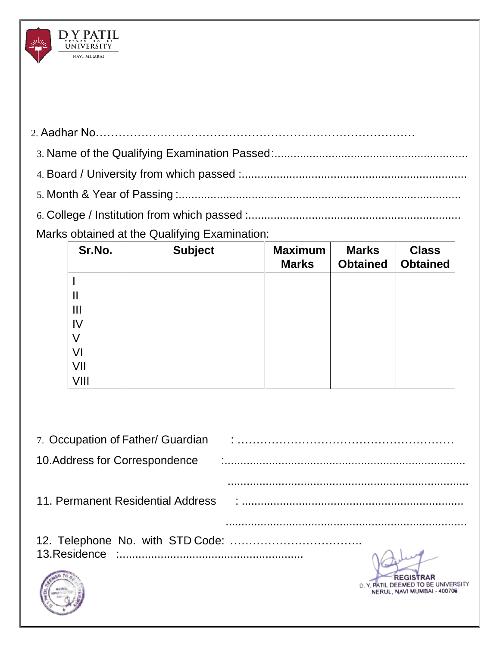|  |        | Marks obtained at the Qualifying Examination: |         |              |              |  |
|--|--------|-----------------------------------------------|---------|--------------|--------------|--|
|  | Sr.No. | <b>Subject</b>                                | Maximum | <b>Marks</b> | <b>Class</b> |  |

 $\underset{\text{UNIVERSITY}}{\text{D} \underset{\text{VNIVERSITY}}{\text{P}} \text{PAT}\underset{\text{L}}{\text{IL}}$ NAVI MUMBAL

V

| Sr.No. | <b>Subject</b> | <b>Maximum</b><br><b>Marks</b> | <b>Marks</b><br><b>Obtained</b> | <b>Class</b><br><b>Obtained</b> |
|--------|----------------|--------------------------------|---------------------------------|---------------------------------|
|        |                |                                |                                 |                                 |
| Ш      |                |                                |                                 |                                 |
| Ш      |                |                                |                                 |                                 |
| 1V     |                |                                |                                 |                                 |
| V      |                |                                |                                 |                                 |
| VI     |                |                                |                                 |                                 |
| VII    |                |                                |                                 |                                 |
| VIII   |                |                                |                                 |                                 |

| 7. Occupation of Father/ Guardian |                                                                                |
|-----------------------------------|--------------------------------------------------------------------------------|
| 10. Address for Correspondence    |                                                                                |
|                                   |                                                                                |
|                                   |                                                                                |
|                                   |                                                                                |
|                                   | <b>REGISTRAR</b><br>TIL DEEMED TO BE UNIVERSITY<br>NERUL, NAVI MUMBAI - 400706 |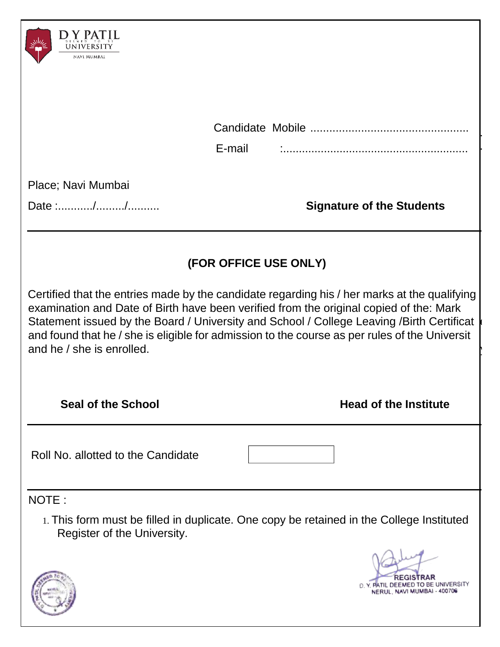| NAVI MUMBAI                                                                                                                                                                                                                                                                                                  |                                                                                                                                 |
|--------------------------------------------------------------------------------------------------------------------------------------------------------------------------------------------------------------------------------------------------------------------------------------------------------------|---------------------------------------------------------------------------------------------------------------------------------|
|                                                                                                                                                                                                                                                                                                              | E-mail                                                                                                                          |
| Place; Navi Mumbai<br>Date ://                                                                                                                                                                                                                                                                               | <b>Signature of the Students</b>                                                                                                |
| (FOR OFFICE USE ONLY)<br>Certified that the entries made by the candidate regarding his / her marks at the qualifying<br>examination and Date of Birth have been verified from the original copied of the: Mark<br>Statement issued by the Board / University and School / College Leaving /Birth Certificat |                                                                                                                                 |
| and he / she is enrolled.<br><b>Seal of the School</b>                                                                                                                                                                                                                                                       | and found that he / she is eligible for admission to the course as per rules of the Universit<br><b>Head of the Institute</b>   |
| Roll No. allotted to the Candidate                                                                                                                                                                                                                                                                           |                                                                                                                                 |
| NOTE:<br>Register of the University.                                                                                                                                                                                                                                                                         | 1. This form must be filled in duplicate. One copy be retained in the College Instituted<br>D. Y. PATIL DEEMED TO BE UNIVERSITY |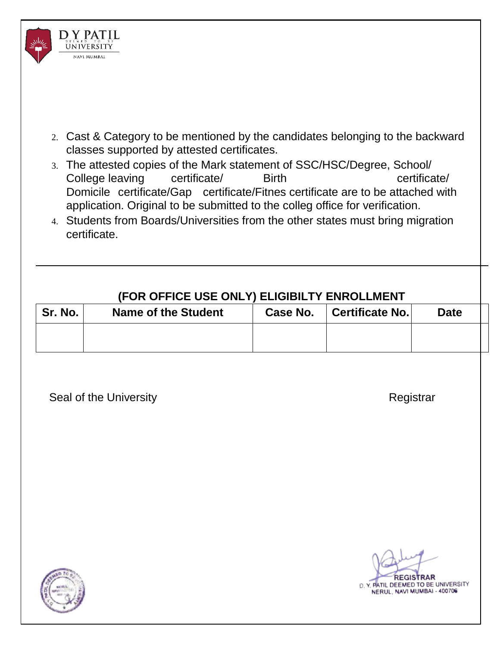

- 2. Cast & Category to be mentioned by the candidates belonging to the backward classes supported by attested certificates.
- 3. The attested copies of the Mark statement of SSC/HSC/Degree, School/ College leaving certificate/ Birth certificate/ Domicile certificate/Gap certificate/Fitnes certificate are to be attached with application. Original to be submitted to the colleg office for verification.
- 4. Students from Boards/Universities from the other states must bring migration certificate.

# **(FOR OFFICE USE ONLY) ELIGIBILTY ENROLLMENT**

| Sr. No. | <b>Name of the Student</b> | Case No. | <b>Certificate No.</b> | <b>Date</b> |
|---------|----------------------------|----------|------------------------|-------------|
|         |                            |          |                        |             |

Seal of the University **Registrar** Registrar



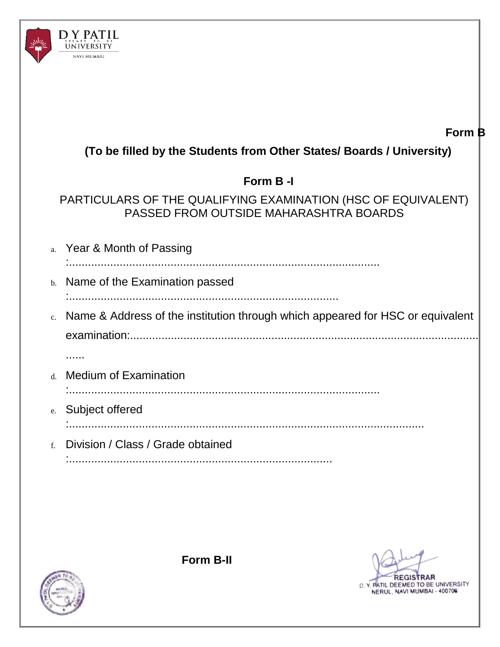

## **Form B**

| (To be filled by the Students from Other States/ Boards / University)                                   |
|---------------------------------------------------------------------------------------------------------|
| Form B-I                                                                                                |
| PARTICULARS OF THE QUALIFYING EXAMINATION (HSC OF EQUIVALENT)<br>PASSED FROM OUTSIDE MAHARASHTRA BOARDS |
| a. Year & Month of Passing                                                                              |
| b. Name of the Examination passed                                                                       |
|                                                                                                         |
| c. Name & Address of the institution through which appeared for HSC or equivalent                       |
|                                                                                                         |
|                                                                                                         |
| d. Medium of Examination                                                                                |
| e. Subject offered                                                                                      |
|                                                                                                         |
| f. Division / Class / Grade obtained                                                                    |
|                                                                                                         |



**Form B-II**

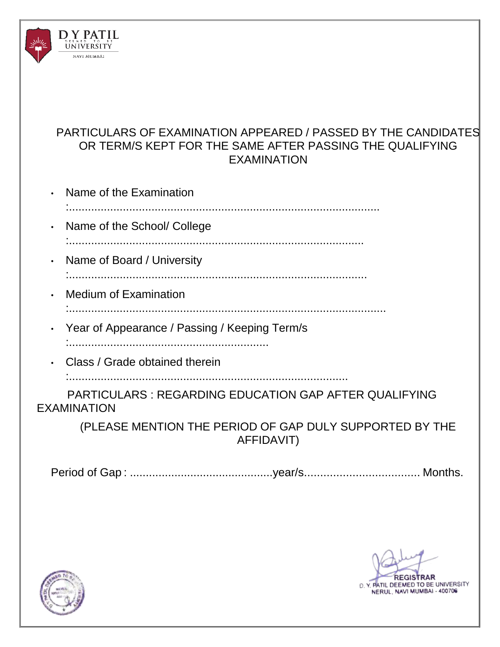

### PARTICULARS OF EXAMINATION APPEARED / PASSED BY THE CANDIDATES OR TERM/S KEPT FOR THE SAME AFTER PASSING THE QUALIFYING EXAMINATION

| $\cdot$ Name of the Examination                      |
|------------------------------------------------------|
| $\cdot$ Name of the School/ College                  |
| • Name of Board / University                         |
| • Medium of Examination                              |
| • Year of Appearance / Passing / Keeping Term/s<br>. |
| Class / Grade obtained therein                       |

:........................................................................................

PARTICULARS : REGARDING EDUCATION GAP AFTER QUALIFYING EXAMINATION

> (PLEASE MENTION THE PERIOD OF GAP DULY SUPPORTED BY THE AFFIDAVIT)

Period of Gap : .............................................year/s.................................... Months.



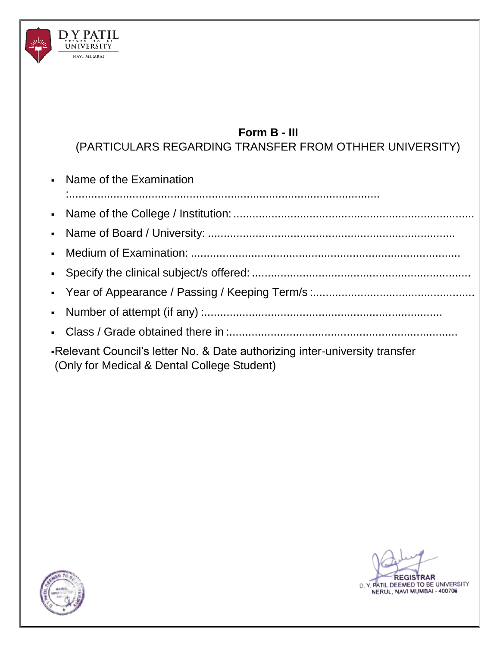

# **Form B - III**

(PARTICULARS REGARDING TRANSFER FROM OTHHER UNIVERSITY)

| • Name of the Examination                                                                                                  |
|----------------------------------------------------------------------------------------------------------------------------|
|                                                                                                                            |
|                                                                                                                            |
|                                                                                                                            |
|                                                                                                                            |
|                                                                                                                            |
|                                                                                                                            |
|                                                                                                                            |
| -Relevant Council's letter No. & Date authorizing inter-university transfer<br>(Only for Medical & Dental College Student) |